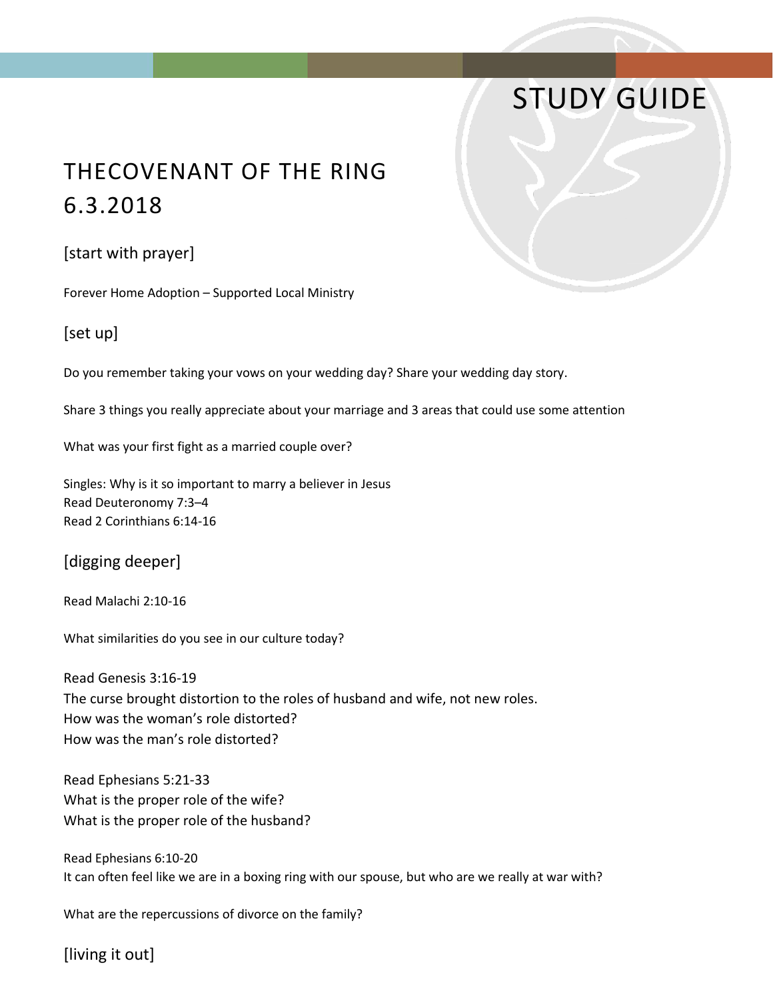# STUDY GUIDE

## THECOVENANT OF THE RING 6.3.2018

#### [start with prayer]

Forever Home Adoption – Supported Local Ministry

### [set up]

Do you remember taking your vows on your wedding day? Share your wedding day story.

Share 3 things you really appreciate about your marriage and 3 areas that could use some attention

What was your first fight as a married couple over?

Singles: Why is it so important to marry a believer in Jesus Read Deuteronomy 7:3–4 Read 2 Corinthians 6:14-16

[digging deeper]

Read Malachi 2:10-16

What similarities do you see in our culture today?

Read Genesis 3:16-19 The curse brought distortion to the roles of husband and wife, not new roles. How was the woman's role distorted? How was the man's role distorted?

Read Ephesians 5:21-33 What is the proper role of the wife? What is the proper role of the husband?

Read Ephesians 6:10-20 It can often feel like we are in a boxing ring with our spouse, but who are we really at war with?

What are the repercussions of divorce on the family?

[living it out]